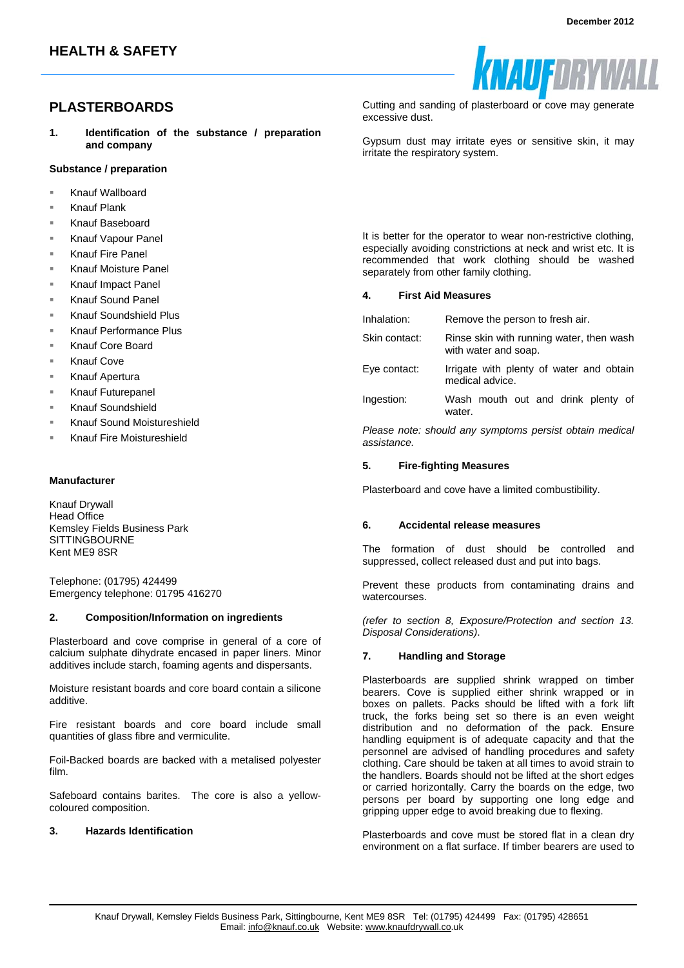# **PLASTERBOARDS**

**1. Identification of the substance / preparation and company**

## **Substance / preparation**

- Knauf Wallboard
- Knauf Plank
- Knauf Baseboard
- Knauf Vapour Panel
- Knauf Fire Panel
- Knauf Moisture Panel
- Knauf Impact Panel
- Knauf Sound Panel
- Knauf Soundshield Plus
- Knauf Performance Plus
- Knauf Core Board
- Knauf Cove
- Knauf Apertura
- Knauf Futurepanel
- Knauf Soundshield
- Knauf Sound Moistureshield
- Knauf Fire Moistureshield

## **Manufacturer**

Knauf Drywall Head Office Kemsley Fields Business Park SITTINGBOURNE Kent ME9 8SR

Telephone: (01795) 424499 Emergency telephone: 01795 416270

## **2. Composition/Information on ingredients**

Plasterboard and cove comprise in general of a core of calcium sulphate dihydrate encased in paper liners. Minor additives include starch, foaming agents and dispersants.

Moisture resistant boards and core board contain a silicone additive.

Fire resistant boards and core board include small quantities of glass fibre and vermiculite.

Foil-Backed boards are backed with a metalised polyester film.

Safeboard contains barites. The core is also a yellowcoloured composition.

## **3. Hazards Identification**

KNAUFDRYV

Cutting and sanding of plasterboard or cove may generate excessive dust.

Gypsum dust may irritate eyes or sensitive skin, it may irritate the respiratory system.

It is better for the operator to wear non-restrictive clothing, especially avoiding constrictions at neck and wrist etc. It is recommended that work clothing should be washed separately from other family clothing.

### **4. First Aid Measures**

| Inhalation:   | Remove the person to fresh air.                                  |
|---------------|------------------------------------------------------------------|
| Skin contact: | Rinse skin with running water, then wash<br>with water and soap. |
| Eye contact:  | Irrigate with plenty of water and obtain<br>medical advice.      |
| Ingestion:    | Wash mouth out and drink plenty of<br>water.                     |

*Please note: should any symptoms persist obtain medical assistance.* 

## **5. Fire-fighting Measures**

Plasterboard and cove have a limited combustibility.

## **6. Accidental release measures**

The formation of dust should be controlled and suppressed, collect released dust and put into bags.

Prevent these products from contaminating drains and watercourses.

*(refer to section 8, Exposure/Protection and section 13. Disposal Considerations)*.

## **7. Handling and Storage**

Plasterboards are supplied shrink wrapped on timber bearers. Cove is supplied either shrink wrapped or in boxes on pallets. Packs should be lifted with a fork lift truck, the forks being set so there is an even weight distribution and no deformation of the pack. Ensure handling equipment is of adequate capacity and that the personnel are advised of handling procedures and safety clothing. Care should be taken at all times to avoid strain to the handlers. Boards should not be lifted at the short edges or carried horizontally. Carry the boards on the edge, two persons per board by supporting one long edge and gripping upper edge to avoid breaking due to flexing.

Plasterboards and cove must be stored flat in a clean dry environment on a flat surface. If timber bearers are used to